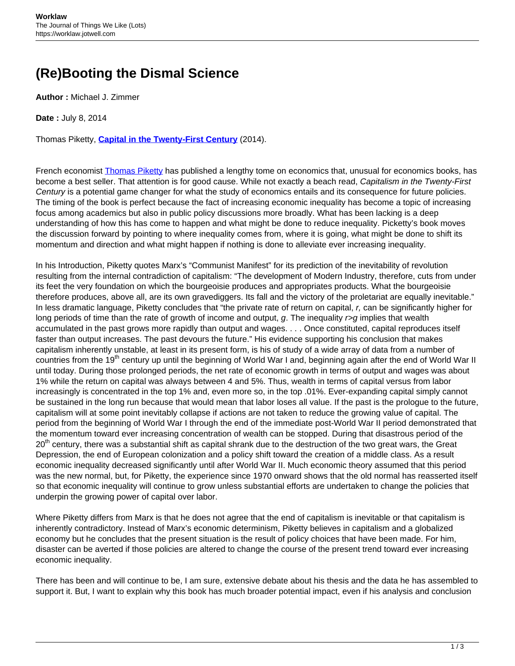## **(Re)Booting the Dismal Science**

**Author :** Michael J. Zimmer

**Date :** July 8, 2014

Thomas Piketty, **[Capital in the Twenty-First Century](http://www.hup.harvard.edu/catalog.php?isbn=9780674430006)** (2014).

French economist [Thomas Piketty](http://piketty.pse.ens.fr/en/cv-en) has published a lengthy tome on economics that, unusual for economics books, has become a best seller. That attention is for good cause. While not exactly a beach read, Capitalism in the Twenty-First Century is a potential game changer for what the study of economics entails and its consequence for future policies. The timing of the book is perfect because the fact of increasing economic inequality has become a topic of increasing focus among academics but also in public policy discussions more broadly. What has been lacking is a deep understanding of how this has come to happen and what might be done to reduce inequality. Picketty's book moves the discussion forward by pointing to where inequality comes from, where it is going, what might be done to shift its momentum and direction and what might happen if nothing is done to alleviate ever increasing inequality.

In his Introduction, Piketty quotes Marx's "Communist Manifest" for its prediction of the inevitability of revolution resulting from the internal contradiction of capitalism: "The development of Modern Industry, therefore, cuts from under its feet the very foundation on which the bourgeoisie produces and appropriates products. What the bourgeoisie therefore produces, above all, are its own gravediggers. Its fall and the victory of the proletariat are equally inevitable." In less dramatic language, Piketty concludes that "the private rate of return on capital, r, can be significantly higher for long periods of time than the rate of growth of income and output, g. The inequality  $\sim g$  implies that wealth accumulated in the past grows more rapidly than output and wages. . . . Once constituted, capital reproduces itself faster than output increases. The past devours the future." His evidence supporting his conclusion that makes capitalism inherently unstable, at least in its present form, is his of study of a wide array of data from a number of countries from the 19<sup>th</sup> century up until the beginning of World War I and, beginning again after the end of World War II until today. During those prolonged periods, the net rate of economic growth in terms of output and wages was about 1% while the return on capital was always between 4 and 5%. Thus, wealth in terms of capital versus from labor increasingly is concentrated in the top 1% and, even more so, in the top .01%. Ever-expanding capital simply cannot be sustained in the long run because that would mean that labor loses all value. If the past is the prologue to the future, capitalism will at some point inevitably collapse if actions are not taken to reduce the growing value of capital. The period from the beginning of World War I through the end of the immediate post-World War II period demonstrated that the momentum toward ever increasing concentration of wealth can be stopped. During that disastrous period of the  $20<sup>th</sup>$  century, there was a substantial shift as capital shrank due to the destruction of the two great wars, the Great Depression, the end of European colonization and a policy shift toward the creation of a middle class. As a result economic inequality decreased significantly until after World War II. Much economic theory assumed that this period was the new normal, but, for Piketty, the experience since 1970 onward shows that the old normal has reasserted itself so that economic inequality will continue to grow unless substantial efforts are undertaken to change the policies that underpin the growing power of capital over labor.

Where Piketty differs from Marx is that he does not agree that the end of capitalism is inevitable or that capitalism is inherently contradictory. Instead of Marx's economic determinism, Piketty believes in capitalism and a globalized economy but he concludes that the present situation is the result of policy choices that have been made. For him, disaster can be averted if those policies are altered to change the course of the present trend toward ever increasing economic inequality.

There has been and will continue to be, I am sure, extensive debate about his thesis and the data he has assembled to support it. But, I want to explain why this book has much broader potential impact, even if his analysis and conclusion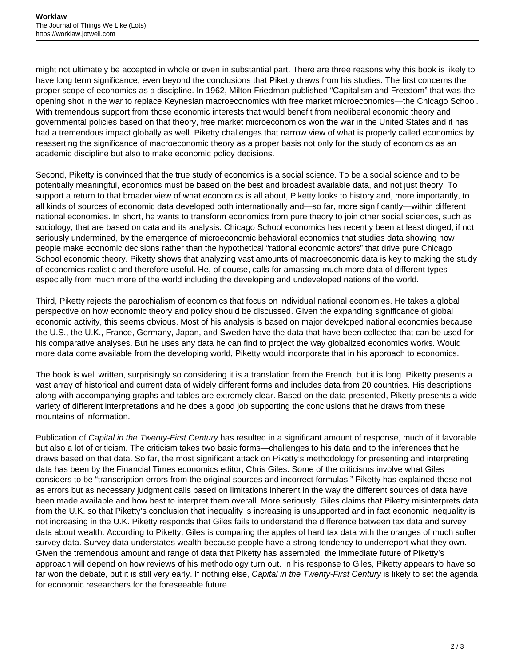might not ultimately be accepted in whole or even in substantial part. There are three reasons why this book is likely to have long term significance, even beyond the conclusions that Piketty draws from his studies. The first concerns the proper scope of economics as a discipline. In 1962, Milton Friedman published "Capitalism and Freedom" that was the opening shot in the war to replace Keynesian macroeconomics with free market microeconomics—the Chicago School. With tremendous support from those economic interests that would benefit from neoliberal economic theory and governmental policies based on that theory, free market microeconomics won the war in the United States and it has had a tremendous impact globally as well. Piketty challenges that narrow view of what is properly called economics by reasserting the significance of macroeconomic theory as a proper basis not only for the study of economics as an academic discipline but also to make economic policy decisions.

Second, Piketty is convinced that the true study of economics is a social science. To be a social science and to be potentially meaningful, economics must be based on the best and broadest available data, and not just theory. To support a return to that broader view of what economics is all about, Piketty looks to history and, more importantly, to all kinds of sources of economic data developed both internationally and—so far, more significantly—within different national economies. In short, he wants to transform economics from pure theory to join other social sciences, such as sociology, that are based on data and its analysis. Chicago School economics has recently been at least dinged, if not seriously undermined, by the emergence of microeconomic behavioral economics that studies data showing how people make economic decisions rather than the hypothetical "rational economic actors" that drive pure Chicago School economic theory. Piketty shows that analyzing vast amounts of macroeconomic data is key to making the study of economics realistic and therefore useful. He, of course, calls for amassing much more data of different types especially from much more of the world including the developing and undeveloped nations of the world.

Third, Piketty rejects the parochialism of economics that focus on individual national economies. He takes a global perspective on how economic theory and policy should be discussed. Given the expanding significance of global economic activity, this seems obvious. Most of his analysis is based on major developed national economies because the U.S., the U.K., France, Germany, Japan, and Sweden have the data that have been collected that can be used for his comparative analyses. But he uses any data he can find to project the way globalized economics works. Would more data come available from the developing world, Piketty would incorporate that in his approach to economics.

The book is well written, surprisingly so considering it is a translation from the French, but it is long. Piketty presents a vast array of historical and current data of widely different forms and includes data from 20 countries. His descriptions along with accompanying graphs and tables are extremely clear. Based on the data presented, Piketty presents a wide variety of different interpretations and he does a good job supporting the conclusions that he draws from these mountains of information.

Publication of Capital in the Twenty-First Century has resulted in a significant amount of response, much of it favorable but also a lot of criticism. The criticism takes two basic forms—challenges to his data and to the inferences that he draws based on that data. So far, the most significant attack on Piketty's methodology for presenting and interpreting data has been by the Financial Times economics editor, Chris Giles. Some of the criticisms involve what Giles considers to be "transcription errors from the original sources and incorrect formulas." Piketty has explained these not as errors but as necessary judgment calls based on limitations inherent in the way the different sources of data have been made available and how best to interpret them overall. More seriously, Giles claims that Piketty misinterprets data from the U.K. so that Piketty's conclusion that inequality is increasing is unsupported and in fact economic inequality is not increasing in the U.K. Piketty responds that Giles fails to understand the difference between tax data and survey data about wealth. According to Piketty, Giles is comparing the apples of hard tax data with the oranges of much softer survey data. Survey data understates wealth because people have a strong tendency to underreport what they own. Given the tremendous amount and range of data that Piketty has assembled, the immediate future of Piketty's approach will depend on how reviews of his methodology turn out. In his response to Giles, Piketty appears to have so far won the debate, but it is still very early. If nothing else, Capital in the Twenty-First Century is likely to set the agenda for economic researchers for the foreseeable future.